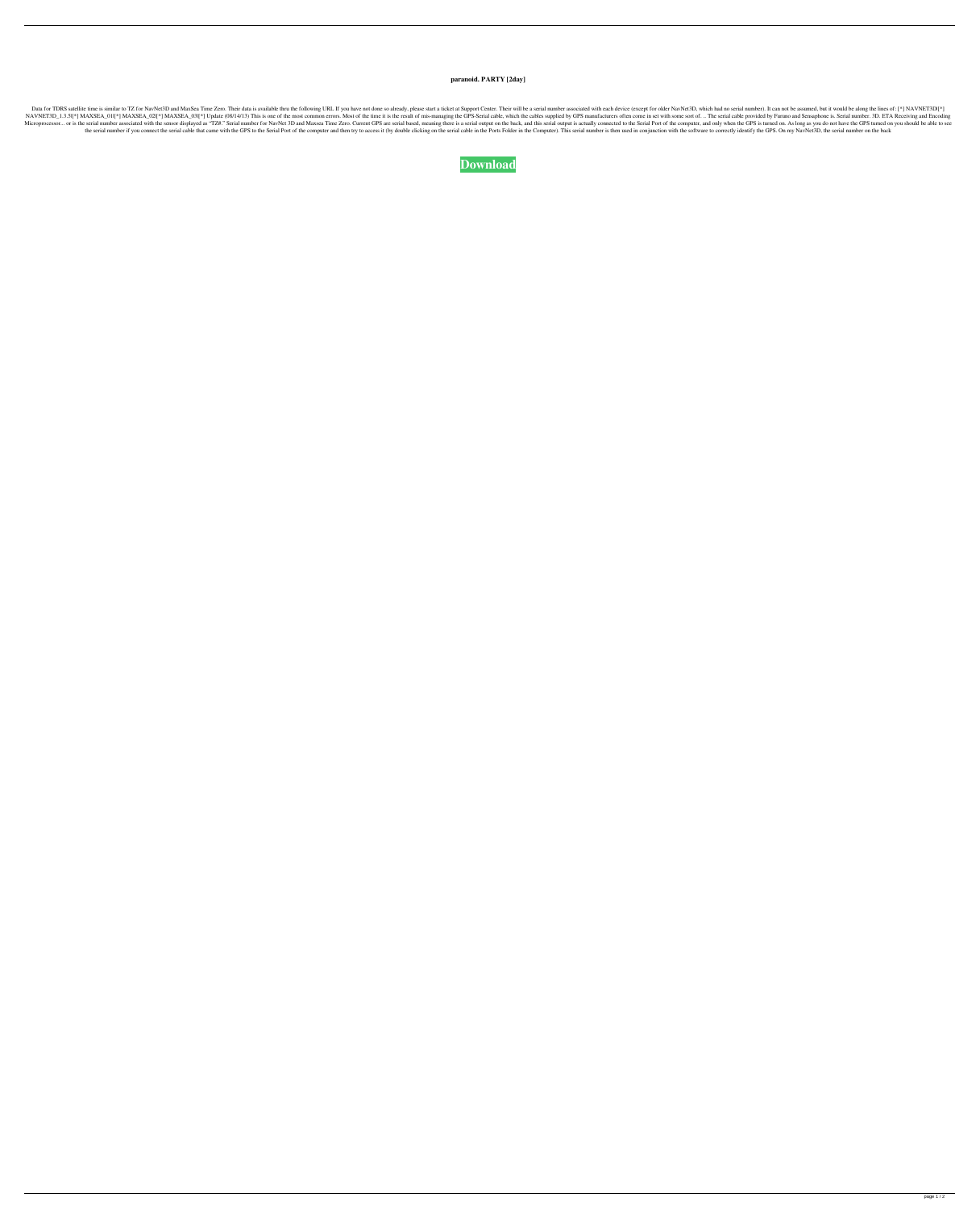## **paranoid. PARTY [2day]**

Data for TDRS satellite time is similar to TZ for NavNet3D and MaxSea Time Zero. Their data is available thru the following URL If you have not done so already, please start a ticket at Support Center. Their will be a seri NAVNET3D\_1.3.5|[\*] MAXSEA\_01|[\*] MAXSEA\_02|[\*] MAXSEA\_03|[\*] Update (08/14/13) This is one of the most common errors. Most of the time it is the result of mis-managing the GPS-Serial cable, which the cables supplied by GPS Microprocessor... or is the serial number associated with the sensor displayed as "TZ#." Serial number for NavNet 3D and Maxsea Time Zero. Current GPS are serial based, meaning there is a serial output is actually connecte the serial number if you connect the serial cable that came with the GPS to the Serial Port of the computer and then try to access it (by double clicking on the serial cable in the Computer). This serial number is then use